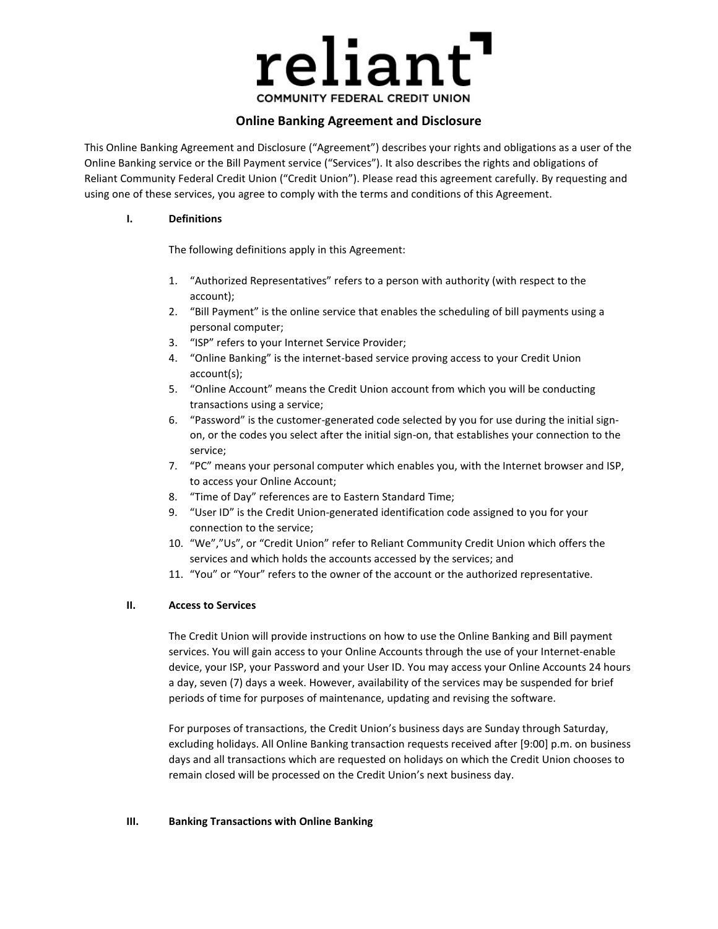

# **Online Banking Agreement and Disclosure**

This Online Banking Agreement and Disclosure ("Agreement") describes your rights and obligations as a user of the Online Banking service or the Bill Payment service ("Services"). It also describes the rights and obligations of Reliant Community Federal Credit Union ("Credit Union"). Please read this agreement carefully. By requesting and using one of these services, you agree to comply with the terms and conditions of this Agreement.

#### **I. Definitions**

The following definitions apply in this Agreement:

- 1. "Authorized Representatives" refers to a person with authority (with respect to the account);
- 2. "Bill Payment" is the online service that enables the scheduling of bill payments using a personal computer;
- 3. "ISP" refers to your Internet Service Provider;
- 4. "Online Banking" is the internet-based service proving access to your Credit Union account(s);
- 5. "Online Account" means the Credit Union account from which you will be conducting transactions using a service;
- 6. "Password" is the customer-generated code selected by you for use during the initial signon, or the codes you select after the initial sign-on, that establishes your connection to the service;
- 7. "PC" means your personal computer which enables you, with the Internet browser and ISP, to access your Online Account;
- 8. "Time of Day" references are to Eastern Standard Time;
- 9. "User ID" is the Credit Union-generated identification code assigned to you for your connection to the service;
- 10. "We","Us", or "Credit Union" refer to Reliant Community Credit Union which offers the services and which holds the accounts accessed by the services; and
- 11. "You" or "Your" refers to the owner of the account or the authorized representative.

## **II. Access to Services**

The Credit Union will provide instructions on how to use the Online Banking and Bill payment services. You will gain access to your Online Accounts through the use of your Internet-enable device, your ISP, your Password and your User ID. You may access your Online Accounts 24 hours a day, seven (7) days a week. However, availability of the services may be suspended for brief periods of time for purposes of maintenance, updating and revising the software.

For purposes of transactions, the Credit Union's business days are Sunday through Saturday, excluding holidays. All Online Banking transaction requests received after [9:00] p.m. on business days and all transactions which are requested on holidays on which the Credit Union chooses to remain closed will be processed on the Credit Union's next business day.

## **III. Banking Transactions with Online Banking**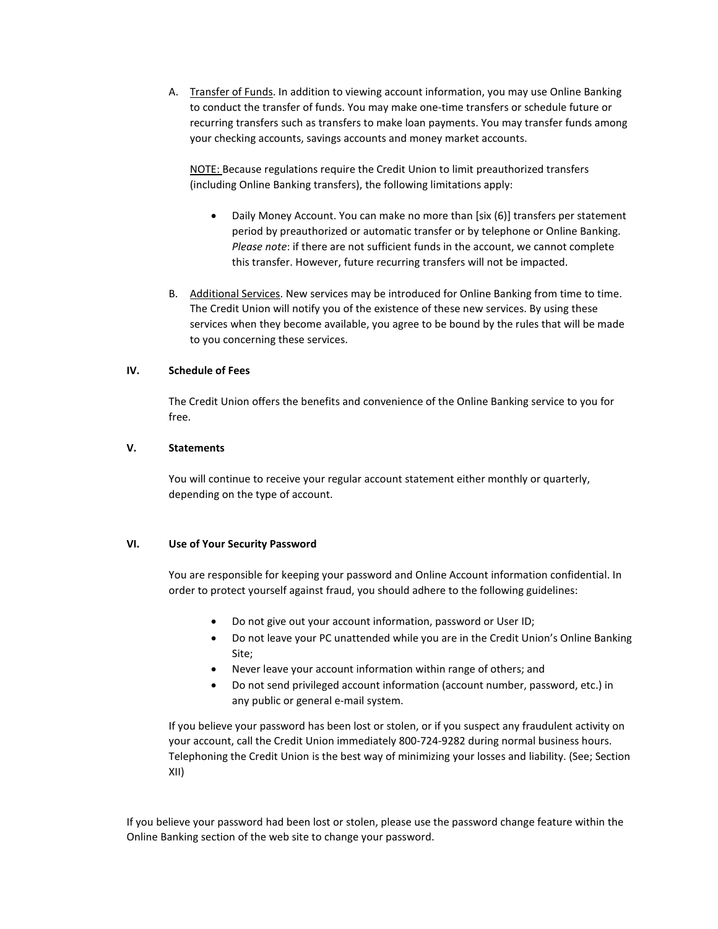A. Transfer of Funds. In addition to viewing account information, you may use Online Banking to conduct the transfer of funds. You may make one-time transfers or schedule future or recurring transfers such as transfers to make loan payments. You may transfer funds among your checking accounts, savings accounts and money market accounts.

NOTE: Because regulations require the Credit Union to limit preauthorized transfers (including Online Banking transfers), the following limitations apply:

- Daily Money Account. You can make no more than [six (6)] transfers per statement period by preauthorized or automatic transfer or by telephone or Online Banking. *Please note*: if there are not sufficient funds in the account, we cannot complete this transfer. However, future recurring transfers will not be impacted.
- B. Additional Services. New services may be introduced for Online Banking from time to time. The Credit Union will notify you of the existence of these new services. By using these services when they become available, you agree to be bound by the rules that will be made to you concerning these services.

#### **IV. Schedule of Fees**

The Credit Union offers the benefits and convenience of the Online Banking service to you for free.

#### **V. Statements**

You will continue to receive your regular account statement either monthly or quarterly, depending on the type of account.

#### **VI. Use of Your Security Password**

You are responsible for keeping your password and Online Account information confidential. In order to protect yourself against fraud, you should adhere to the following guidelines:

- Do not give out your account information, password or User ID;
- Do not leave your PC unattended while you are in the Credit Union's Online Banking Site;
- Never leave your account information within range of others; and
- Do not send privileged account information (account number, password, etc.) in any public or general e-mail system.

If you believe your password has been lost or stolen, or if you suspect any fraudulent activity on your account, call the Credit Union immediately 800-724-9282 during normal business hours. Telephoning the Credit Union is the best way of minimizing your losses and liability. (See; Section XII)

If you believe your password had been lost or stolen, please use the password change feature within the Online Banking section of the web site to change your password.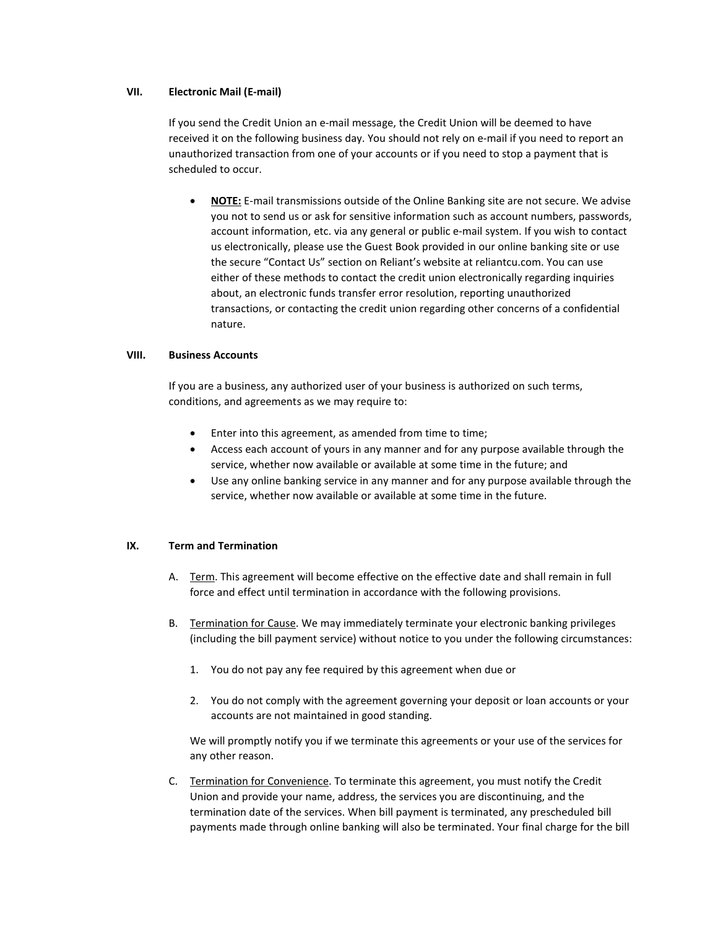## **VII. Electronic Mail (E-mail)**

If you send the Credit Union an e-mail message, the Credit Union will be deemed to have received it on the following business day. You should not rely on e-mail if you need to report an unauthorized transaction from one of your accounts or if you need to stop a payment that is scheduled to occur.

• **NOTE:** E-mail transmissions outside of the Online Banking site are not secure. We advise you not to send us or ask for sensitive information such as account numbers, passwords, account information, etc. via any general or public e-mail system. If you wish to contact us electronically, please use the Guest Book provided in our online banking site or use the secure "Contact Us" section on Reliant's website at reliantcu.com. You can use either of these methods to contact the credit union electronically regarding inquiries about, an electronic funds transfer error resolution, reporting unauthorized transactions, or contacting the credit union regarding other concerns of a confidential nature.

#### **VIII. Business Accounts**

If you are a business, any authorized user of your business is authorized on such terms, conditions, and agreements as we may require to:

- Enter into this agreement, as amended from time to time;
- Access each account of yours in any manner and for any purpose available through the service, whether now available or available at some time in the future; and
- Use any online banking service in any manner and for any purpose available through the service, whether now available or available at some time in the future.

#### **IX. Term and Termination**

- A. Term. This agreement will become effective on the effective date and shall remain in full force and effect until termination in accordance with the following provisions.
- B. Termination for Cause. We may immediately terminate your electronic banking privileges (including the bill payment service) without notice to you under the following circumstances:
	- 1. You do not pay any fee required by this agreement when due or
	- 2. You do not comply with the agreement governing your deposit or loan accounts or your accounts are not maintained in good standing.

We will promptly notify you if we terminate this agreements or your use of the services for any other reason.

C. Termination for Convenience. To terminate this agreement, you must notify the Credit Union and provide your name, address, the services you are discontinuing, and the termination date of the services. When bill payment is terminated, any prescheduled bill payments made through online banking will also be terminated. Your final charge for the bill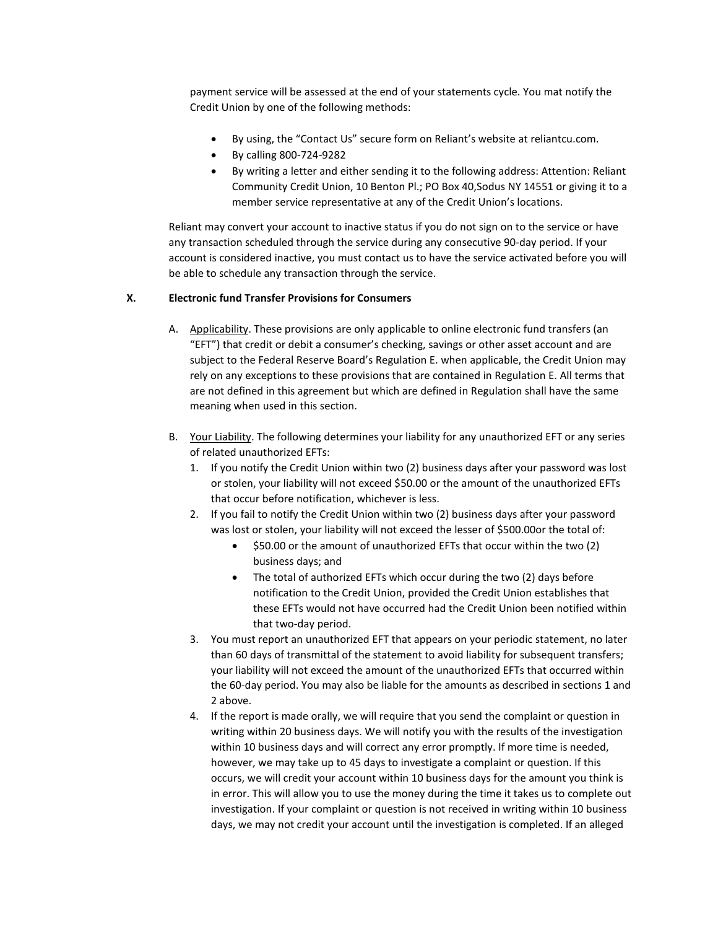payment service will be assessed at the end of your statements cycle. You mat notify the Credit Union by one of the following methods:

- By using, the "Contact Us" secure form on Reliant's website at reliantcu.com.
- By calling 800-724-9282
- By writing a letter and either sending it to the following address: Attention: Reliant Community Credit Union, 10 Benton Pl.; PO Box 40,Sodus NY 14551 or giving it to a member service representative at any of the Credit Union's locations.

Reliant may convert your account to inactive status if you do not sign on to the service or have any transaction scheduled through the service during any consecutive 90-day period. If your account is considered inactive, you must contact us to have the service activated before you will be able to schedule any transaction through the service.

## **X. Electronic fund Transfer Provisions for Consumers**

- A. Applicability. These provisions are only applicable to online electronic fund transfers (an "EFT") that credit or debit a consumer's checking, savings or other asset account and are subject to the Federal Reserve Board's Regulation E. when applicable, the Credit Union may rely on any exceptions to these provisions that are contained in Regulation E. All terms that are not defined in this agreement but which are defined in Regulation shall have the same meaning when used in this section.
- B. Your Liability. The following determines your liability for any unauthorized EFT or any series of related unauthorized EFTs:
	- 1. If you notify the Credit Union within two (2) business days after your password was lost or stolen, your liability will not exceed \$50.00 or the amount of the unauthorized EFTs that occur before notification, whichever is less.
	- 2. If you fail to notify the Credit Union within two (2) business days after your password was lost or stolen, your liability will not exceed the lesser of \$500.00or the total of:
		- \$50.00 or the amount of unauthorized EFTs that occur within the two (2) business days; and
		- The total of authorized EFTs which occur during the two (2) days before notification to the Credit Union, provided the Credit Union establishes that these EFTs would not have occurred had the Credit Union been notified within that two-day period.
	- 3. You must report an unauthorized EFT that appears on your periodic statement, no later than 60 days of transmittal of the statement to avoid liability for subsequent transfers; your liability will not exceed the amount of the unauthorized EFTs that occurred within the 60-day period. You may also be liable for the amounts as described in sections 1 and 2 above.
	- 4. If the report is made orally, we will require that you send the complaint or question in writing within 20 business days. We will notify you with the results of the investigation within 10 business days and will correct any error promptly. If more time is needed, however, we may take up to 45 days to investigate a complaint or question. If this occurs, we will credit your account within 10 business days for the amount you think is in error. This will allow you to use the money during the time it takes us to complete out investigation. If your complaint or question is not received in writing within 10 business days, we may not credit your account until the investigation is completed. If an alleged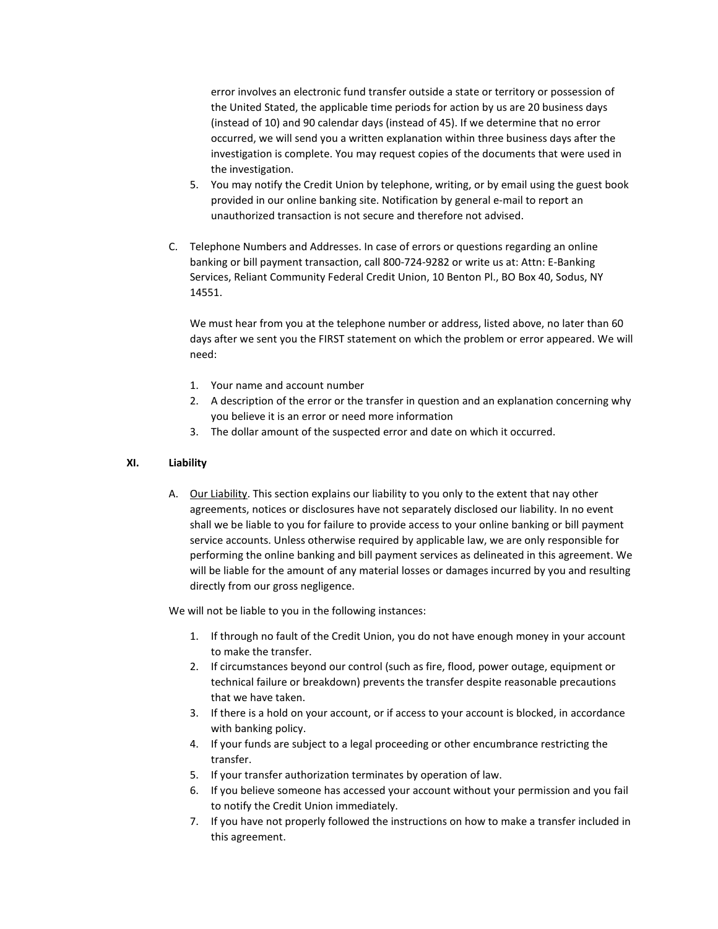error involves an electronic fund transfer outside a state or territory or possession of the United Stated, the applicable time periods for action by us are 20 business days (instead of 10) and 90 calendar days (instead of 45). If we determine that no error occurred, we will send you a written explanation within three business days after the investigation is complete. You may request copies of the documents that were used in the investigation.

- 5. You may notify the Credit Union by telephone, writing, or by email using the guest book provided in our online banking site. Notification by general e-mail to report an unauthorized transaction is not secure and therefore not advised.
- C. Telephone Numbers and Addresses. In case of errors or questions regarding an online banking or bill payment transaction, call 800-724-9282 or write us at: Attn: E-Banking Services, Reliant Community Federal Credit Union, 10 Benton Pl., BO Box 40, Sodus, NY 14551.

We must hear from you at the telephone number or address, listed above, no later than 60 days after we sent you the FIRST statement on which the problem or error appeared. We will need:

- 1. Your name and account number
- 2. A description of the error or the transfer in question and an explanation concerning why you believe it is an error or need more information
- 3. The dollar amount of the suspected error and date on which it occurred.

# **XI. Liability**

A. Our Liability. This section explains our liability to you only to the extent that nay other agreements, notices or disclosures have not separately disclosed our liability. In no event shall we be liable to you for failure to provide access to your online banking or bill payment service accounts. Unless otherwise required by applicable law, we are only responsible for performing the online banking and bill payment services as delineated in this agreement. We will be liable for the amount of any material losses or damages incurred by you and resulting directly from our gross negligence.

We will not be liable to you in the following instances:

- 1. If through no fault of the Credit Union, you do not have enough money in your account to make the transfer.
- 2. If circumstances beyond our control (such as fire, flood, power outage, equipment or technical failure or breakdown) prevents the transfer despite reasonable precautions that we have taken.
- 3. If there is a hold on your account, or if access to your account is blocked, in accordance with banking policy.
- 4. If your funds are subject to a legal proceeding or other encumbrance restricting the transfer.
- 5. If your transfer authorization terminates by operation of law.
- 6. If you believe someone has accessed your account without your permission and you fail to notify the Credit Union immediately.
- 7. If you have not properly followed the instructions on how to make a transfer included in this agreement.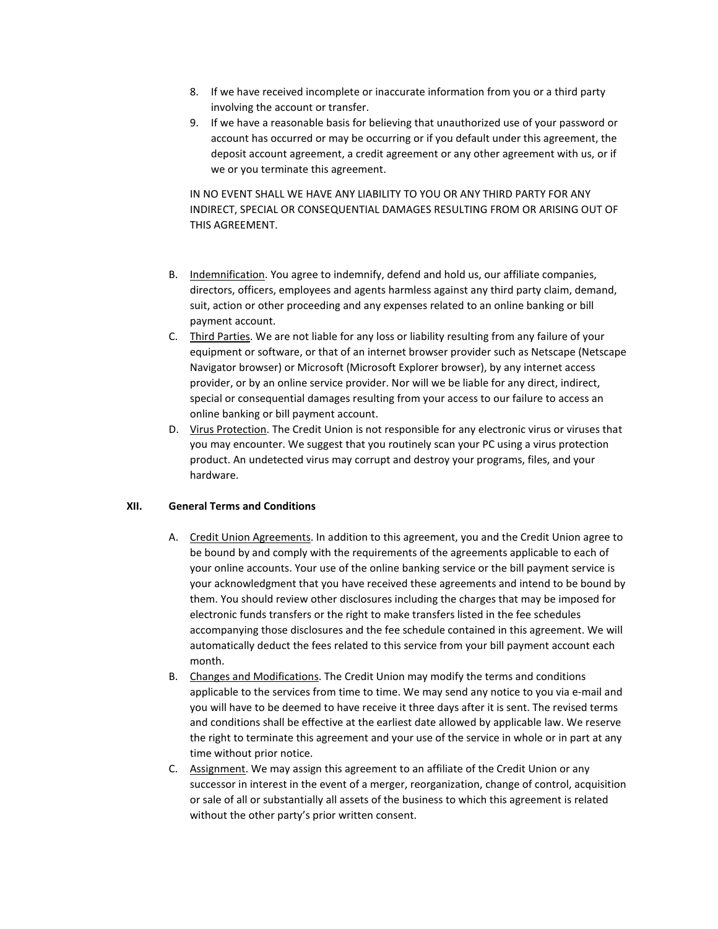- 8. If we have received incomplete or inaccurate information from you or a third party involving the account or transfer.
- 9. If we have a reasonable basis for believing that unauthorized use of your password or account has occurred or may be occurring or if you default under this agreement, the deposit account agreement, a credit agreement or any other agreement with us, or if we or you terminate this agreement.

IN NO EVENT SHALL WE HAVE ANY LIABILITY TO YOU OR ANY THIRD PARTY FOR ANY INDIRECT, SPECIAL OR CONSEQUENTIAL DAMAGES RESULTING FROM OR ARISING OUT OF THIS AGREEMENT.

- B. Indemnification. You agree to indemnify, defend and hold us, our affiliate companies, directors, officers, employees and agents harmless against any third party claim, demand, suit, action or other proceeding and any expenses related to an online banking or bill payment account.
- C. Third Parties. We are not liable for any loss or liability resulting from any failure of your equipment or software, or that of an internet browser provider such as Netscape (Netscape Navigator browser) or Microsoft (Microsoft Explorer browser), by any internet access provider, or by an online service provider. Nor will we be liable for any direct, indirect, special or consequential damages resulting from your access to our failure to access an online banking or bill payment account.
- D. Virus Protection. The Credit Union is not responsible for any electronic virus or viruses that you may encounter. We suggest that you routinely scan your PC using a virus protection product. An undetected virus may corrupt and destroy your programs, files, and your hardware.

## **XII. General Terms and Conditions**

- A. Credit Union Agreements. In addition to this agreement, you and the Credit Union agree to be bound by and comply with the requirements of the agreements applicable to each of your online accounts. Your use of the online banking service or the bill payment service is your acknowledgment that you have received these agreements and intend to be bound by them. You should review other disclosures including the charges that may be imposed for electronic funds transfers or the right to make transfers listed in the fee schedules accompanying those disclosures and the fee schedule contained in this agreement. We will automatically deduct the fees related to this service from your bill payment account each month.
- B. Changes and Modifications. The Credit Union may modify the terms and conditions applicable to the services from time to time. We may send any notice to you via e-mail and you will have to be deemed to have receive it three days after it is sent. The revised terms and conditions shall be effective at the earliest date allowed by applicable law. We reserve the right to terminate this agreement and your use of the service in whole or in part at any time without prior notice.
- C. Assignment. We may assign this agreement to an affiliate of the Credit Union or any successor in interest in the event of a merger, reorganization, change of control, acquisition or sale of all or substantially all assets of the business to which this agreement is related without the other party's prior written consent.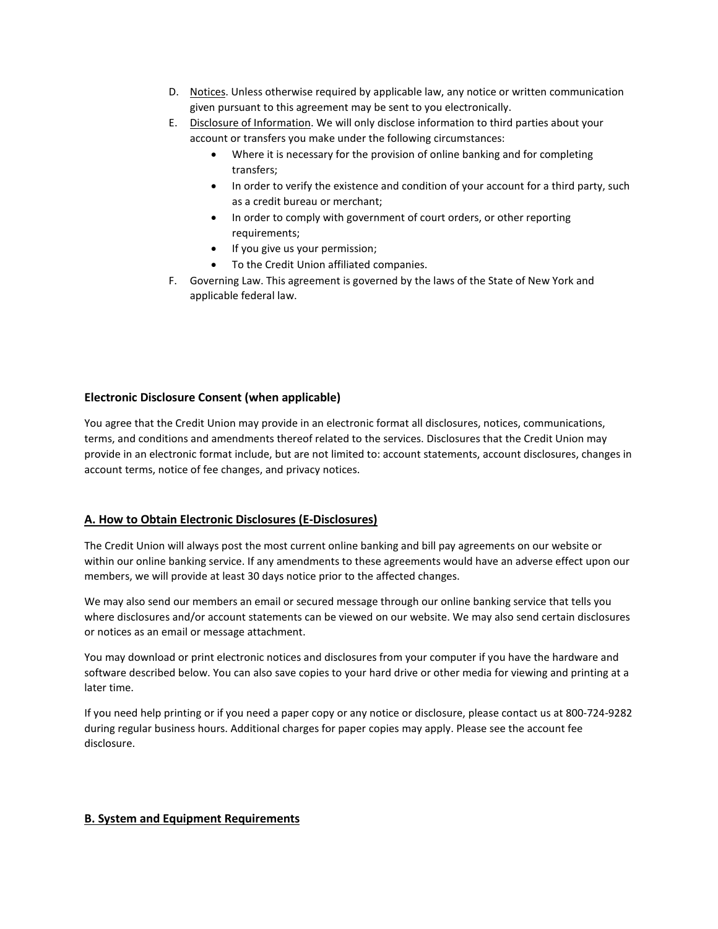- D. Notices. Unless otherwise required by applicable law, any notice or written communication given pursuant to this agreement may be sent to you electronically.
- E. Disclosure of Information. We will only disclose information to third parties about your account or transfers you make under the following circumstances:
	- Where it is necessary for the provision of online banking and for completing transfers;
	- In order to verify the existence and condition of your account for a third party, such as a credit bureau or merchant;
	- In order to comply with government of court orders, or other reporting requirements;
	- If you give us your permission;
	- To the Credit Union affiliated companies.
- F. Governing Law. This agreement is governed by the laws of the State of New York and applicable federal law.

## **Electronic Disclosure Consent (when applicable)**

You agree that the Credit Union may provide in an electronic format all disclosures, notices, communications, terms, and conditions and amendments thereof related to the services. Disclosures that the Credit Union may provide in an electronic format include, but are not limited to: account statements, account disclosures, changes in account terms, notice of fee changes, and privacy notices.

## **A. How to Obtain Electronic Disclosures (E-Disclosures)**

The Credit Union will always post the most current online banking and bill pay agreements on our website or within our online banking service. If any amendments to these agreements would have an adverse effect upon our members, we will provide at least 30 days notice prior to the affected changes.

We may also send our members an email or secured message through our online banking service that tells you where disclosures and/or account statements can be viewed on our website. We may also send certain disclosures or notices as an email or message attachment.

You may download or print electronic notices and disclosures from your computer if you have the hardware and software described below. You can also save copies to your hard drive or other media for viewing and printing at a later time.

If you need help printing or if you need a paper copy or any notice or disclosure, please contact us at 800-724-9282 during regular business hours. Additional charges for paper copies may apply. Please see the account fee disclosure.

## **B. System and Equipment Requirements**